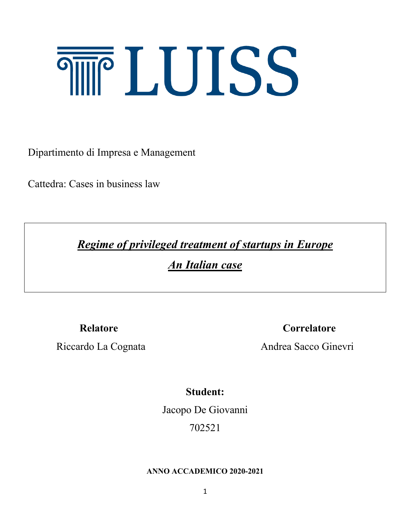# **THE LUISS**

Dipartimento di Impresa e Management

Cattedra: Cases in business law

*Regime of privileged treatment of startups in Europe*

*An Italian case*

**Relatore Correlatore** 

Riccardo La Cognata Andrea Sacco Ginevri

**Student:**

Jacopo De Giovanni

702521

## **ANNO ACCADEMICO 2020-2021**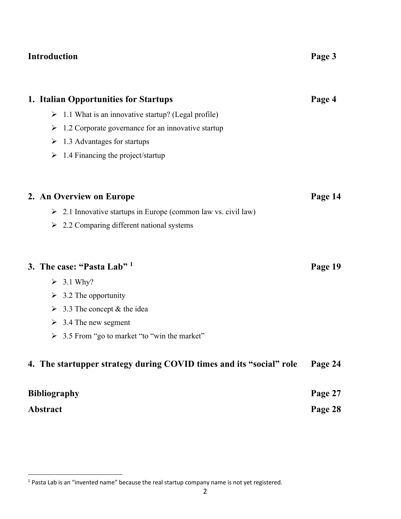## **Introduction Page 3**

| 1. Italian Opportunities for Startups                                       | Page 4  |
|-----------------------------------------------------------------------------|---------|
| $\triangleright$ 1.1 What is an innovative startup? (Legal profile)         |         |
| 1.2 Corporate governance for an innovative startup<br>$\blacktriangleright$ |         |
| $\geq 1.3$ Advantages for startups                                          |         |
| 1.4 Financing the project/startup<br>➤                                      |         |
| 2. An Overview on Europe                                                    | Page 14 |
| $\geq$ 2.1 Innovative startups in Europe (common law vs. civil law)         |         |
| $\geq$ 2.2 Comparing different national systems                             |         |
| 3. The case: "Pasta Lab" 1                                                  | Page 19 |
| $\geq 3.1$ Why?                                                             |         |
| $\geq$ 3.2 The opportunity                                                  |         |
| 3.3 The concept & the idea<br>$\blacktriangleright$                         |         |
| $\geq$ 3.4 The new segment                                                  |         |
| $\triangleright$ 3.5 From "go to market "to "win the market"                |         |
| 4. The startupper strategy during COVID times and its "social" role         | Page 24 |
| <b>Bibliography</b>                                                         |         |
| <b>Abstract</b>                                                             |         |

 $1$  Pasta Lab is an "invented name" because the real startup company name is not yet registered.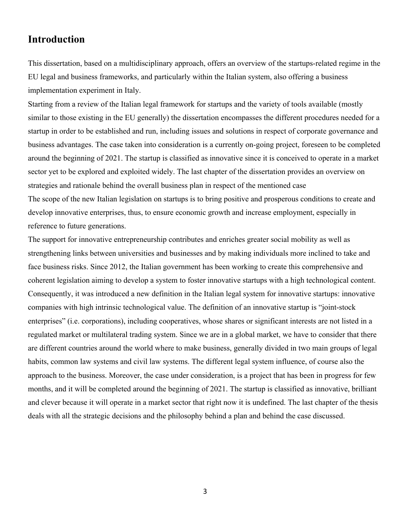## **Introduction**

This dissertation, based on a multidisciplinary approach, offers an overview of the startups-related regime in the EU legal and business frameworks, and particularly within the Italian system, also offering a business implementation experiment in Italy.

Starting from a review of the Italian legal framework for startups and the variety of tools available (mostly similar to those existing in the EU generally) the dissertation encompasses the different procedures needed for a startup in order to be established and run, including issues and solutions in respect of corporate governance and business advantages. The case taken into consideration is a currently on-going project, foreseen to be completed around the beginning of 2021. The startup is classified as innovative since it is conceived to operate in a market sector yet to be explored and exploited widely. The last chapter of the dissertation provides an overview on strategies and rationale behind the overall business plan in respect of the mentioned case The scope of the new Italian legislation on startups is to bring positive and prosperous conditions to create and develop innovative enterprises, thus, to ensure economic growth and increase employment, especially in reference to future generations.

The support for innovative entrepreneurship contributes and enriches greater social mobility as well as strengthening links between universities and businesses and by making individuals more inclined to take and face business risks. Since 2012, the Italian government has been working to create this comprehensive and coherent legislation aiming to develop a system to foster innovative startups with a high technological content. Consequently, it was introduced a new definition in the Italian legal system for innovative startups: innovative companies with high intrinsic technological value. The definition of an innovative startup is "joint-stock enterprises" (i.e. corporations), including cooperatives, whose shares or significant interests are not listed in a regulated market or multilateral trading system. Since we are in a global market, we have to consider that there are different countries around the world where to make business, generally divided in two main groups of legal habits, common law systems and civil law systems. The different legal system influence, of course also the approach to the business. Moreover, the case under consideration, is a project that has been in progress for few months, and it will be completed around the beginning of 2021. The startup is classified as innovative, brilliant and clever because it will operate in a market sector that right now it is undefined. The last chapter of the thesis deals with all the strategic decisions and the philosophy behind a plan and behind the case discussed.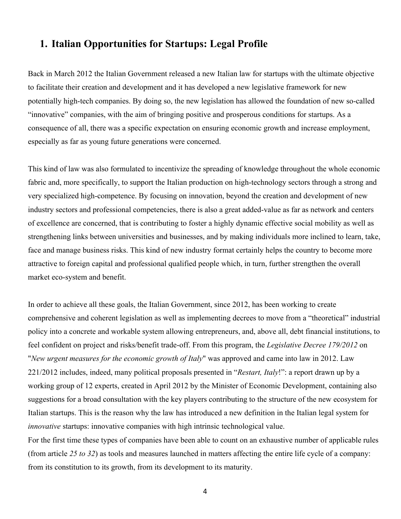## **1. Italian Opportunities for Startups: Legal Profile**

Back in March 2012 the Italian Government released a new Italian law for startups with the ultimate objective to facilitate their creation and development and it has developed a new legislative framework for new potentially high-tech companies. By doing so, the new legislation has allowed the foundation of new so-called "innovative" companies, with the aim of bringing positive and prosperous conditions for startups. As a consequence of all, there was a specific expectation on ensuring economic growth and increase employment, especially as far as young future generations were concerned.

This kind of law was also formulated to incentivize the spreading of knowledge throughout the whole economic fabric and, more specifically, to support the Italian production on high-technology sectors through a strong and very specialized high-competence. By focusing on innovation, beyond the creation and development of new industry sectors and professional competencies, there is also a great added-value as far as network and centers of excellence are concerned, that is contributing to foster a highly dynamic effective social mobility as well as strengthening links between universities and businesses, and by making individuals more inclined to learn, take, face and manage business risks. This kind of new industry format certainly helps the country to become more attractive to foreign capital and professional qualified people which, in turn, further strengthen the overall market eco-system and benefit.

In order to achieve all these goals, the Italian Government, since 2012, has been working to create comprehensive and coherent legislation as well as implementing decrees to move from a "theoretical" industrial policy into a concrete and workable system allowing entrepreneurs, and, above all, debt financial institutions, to feel confident on project and risks/benefit trade-off. From this program, the *Legislative Decree 179/2012* on "*New urgent measures for the economic growth of Italy*" was approved and came into law in 2012. Law 221/2012 includes, indeed, many political proposals presented in "*Restart, Italy*!": a report drawn up by a working group of 12 experts, created in April 2012 by the Minister of Economic Development, containing also suggestions for a broad consultation with the key players contributing to the structure of the new ecosystem for Italian startups. This is the reason why the law has introduced a new definition in the Italian legal system for *innovative* startups: innovative companies with high intrinsic technological value.

For the first time these types of companies have been able to count on an exhaustive number of applicable rules (from article *25 to 32*) as tools and measures launched in matters affecting the entire life cycle of a company: from its constitution to its growth, from its development to its maturity.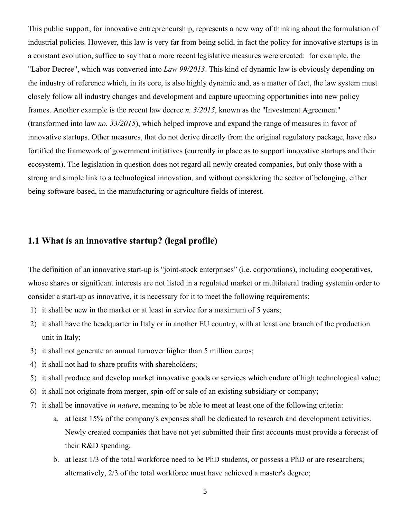This public support, for innovative entrepreneurship, represents a new way of thinking about the formulation of industrial policies. However, this law is very far from being solid, in fact the policy for innovative startups is in a constant evolution, suffice to say that a more recent legislative measures were created: for example, the "Labor Decree", which was converted into *Law 99/2013*. This kind of dynamic law is obviously depending on the industry of reference which, in its core, is also highly dynamic and, as a matter of fact, the law system must closely follow all industry changes and development and capture upcoming opportunities into new policy frames. Another example is the recent law decree *n. 3/2015*, known as the "Investment Agreement" (transformed into law *no. 33/2015*), which helped improve and expand the range of measures in favor of innovative startups. Other measures, that do not derive directly from the original regulatory package, have also fortified the framework of government initiatives (currently in place as to support innovative startups and their ecosystem). The legislation in question does not regard all newly created companies, but only those with a strong and simple link to a technological innovation, and without considering the sector of belonging, either being software-based, in the manufacturing or agriculture fields of interest.

## **1.1 What is an innovative startup? (legal profile)**

The definition of an innovative start-up is "joint-stock enterprises" (i.e. corporations), including cooperatives, whose shares or significant interests are not listed in a regulated market or multilateral trading systemin order to consider a start-up as innovative, it is necessary for it to meet the following requirements:

- 1) it shall be new in the market or at least in service for a maximum of 5 years;
- 2) it shall have the headquarter in Italy or in another EU country, with at least one branch of the production unit in Italy;
- 3) it shall not generate an annual turnover higher than 5 million euros;
- 4) it shall not had to share profits with shareholders;
- 5) it shall produce and develop market innovative goods or services which endure of high technological value;
- 6) it shall not originate from merger, spin-off or sale of an existing subsidiary or company;
- 7) it shall be innovative *in nature*, meaning to be able to meet at least one of the following criteria:
	- a. at least 15% of the company's expenses shall be dedicated to research and development activities. Newly created companies that have not yet submitted their first accounts must provide a forecast of their R&D spending.
	- b. at least 1/3 of the total workforce need to be PhD students, or possess a PhD or are researchers; alternatively, 2/3 of the total workforce must have achieved a master's degree;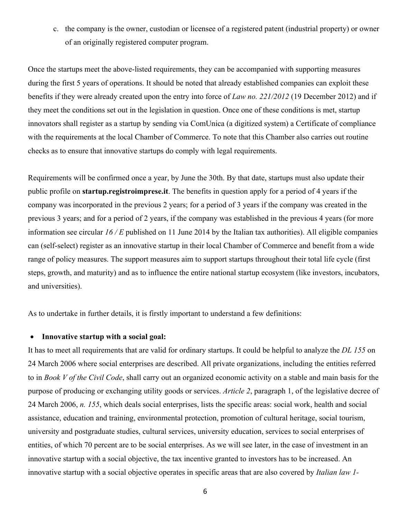c. the company is the owner, custodian or licensee of a registered patent (industrial property) or owner of an originally registered computer program.

Once the startups meet the above-listed requirements, they can be accompanied with supporting measures during the first 5 years of operations. It should be noted that already established companies can exploit these benefits if they were already created upon the entry into force of *Law no. 221/2012* (19 December 2012) and if they meet the conditions set out in the legislation in question. Once one of these conditions is met, startup innovators shall register as a startup by sending via ComUnica (a digitized system) a Certificate of compliance with the requirements at the local Chamber of Commerce. To note that this Chamber also carries out routine checks as to ensure that innovative startups do comply with legal requirements.

Requirements will be confirmed once a year, by June the 30th. By that date, startups must also update their public profile on **startup.registroimprese.it**. The benefits in question apply for a period of 4 years if the company was incorporated in the previous 2 years; for a period of 3 years if the company was created in the previous 3 years; and for a period of 2 years, if the company was established in the previous 4 years (for more information see circular *16 / E* published on 11 June 2014 by the Italian tax authorities). All eligible companies can (self-select) register as an innovative startup in their local Chamber of Commerce and benefit from a wide range of policy measures. The support measures aim to support startups throughout their total life cycle (first steps, growth, and maturity) and as to influence the entire national startup ecosystem (like investors, incubators, and universities).

As to undertake in further details, it is firstly important to understand a few definitions:

#### • **Innovative startup with a social goal:**

It has to meet all requirements that are valid for ordinary startups. It could be helpful to analyze the *DL 155* on 24 March 2006 where social enterprises are described. All private organizations, including the entities referred to in *Book V of the Civil Code*, shall carry out an organized economic activity on a stable and main basis for the purpose of producing or exchanging utility goods or services. *Article 2*, paragraph 1, of the legislative decree of 24 March 2006, *n. 155*, which deals social enterprises, lists the specific areas: social work, health and social assistance, education and training, environmental protection, promotion of cultural heritage, social tourism, university and postgraduate studies, cultural services, university education, services to social enterprises of entities, of which 70 percent are to be social enterprises. As we will see later, in the case of investment in an innovative startup with a social objective, the tax incentive granted to investors has to be increased. An innovative startup with a social objective operates in specific areas that are also covered by *Italian law 1-*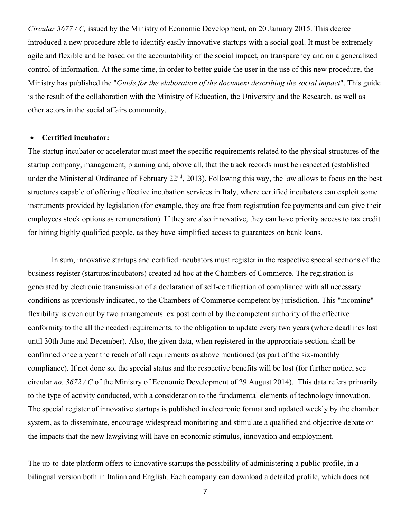*Circular 3677 / C,* issued by the Ministry of Economic Development, on 20 January 2015. This decree introduced a new procedure able to identify easily innovative startups with a social goal. It must be extremely agile and flexible and be based on the accountability of the social impact, on transparency and on a generalized control of information. At the same time, in order to better guide the user in the use of this new procedure, the Ministry has published the "*Guide for the elaboration of the document describing the social impact*". This guide is the result of the collaboration with the Ministry of Education, the University and the Research, as well as other actors in the social affairs community.

#### • **Certified incubator:**

The startup incubator or accelerator must meet the specific requirements related to the physical structures of the startup company, management, planning and, above all, that the track records must be respected (established under the Ministerial Ordinance of February 22<sup>nd</sup>, 2013). Following this way, the law allows to focus on the best structures capable of offering effective incubation services in Italy, where certified incubators can exploit some instruments provided by legislation (for example, they are free from registration fee payments and can give their employees stock options as remuneration). If they are also innovative, they can have priority access to tax credit for hiring highly qualified people, as they have simplified access to guarantees on bank loans.

In sum, innovative startups and certified incubators must register in the respective special sections of the business register (startups/incubators) created ad hoc at the Chambers of Commerce. The registration is generated by electronic transmission of a declaration of self-certification of compliance with all necessary conditions as previously indicated, to the Chambers of Commerce competent by jurisdiction. This "incoming" flexibility is even out by two arrangements: ex post control by the competent authority of the effective conformity to the all the needed requirements, to the obligation to update every two years (where deadlines last until 30th June and December). Also, the given data, when registered in the appropriate section, shall be confirmed once a year the reach of all requirements as above mentioned (as part of the six-monthly compliance). If not done so, the special status and the respective benefits will be lost (for further notice, see circular *no. 3672 / C* of the Ministry of Economic Development of 29 August 2014). This data refers primarily to the type of activity conducted, with a consideration to the fundamental elements of technology innovation. The special register of innovative startups is published in electronic format and updated weekly by the chamber system, as to disseminate, encourage widespread monitoring and stimulate a qualified and objective debate on the impacts that the new lawgiving will have on economic stimulus, innovation and employment.

The up-to-date platform offers to innovative startups the possibility of administering a public profile, in a bilingual version both in Italian and English. Each company can download a detailed profile, which does not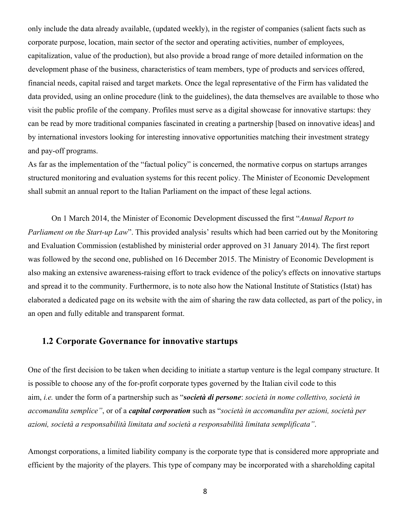only include the data already available, (updated weekly), in the register of companies (salient facts such as corporate purpose, location, main sector of the sector and operating activities, number of employees, capitalization, value of the production), but also provide a broad range of more detailed information on the development phase of the business, characteristics of team members, type of products and services offered, financial needs, capital raised and target markets. Once the legal representative of the Firm has validated the data provided, using an online procedure (link to the guidelines), the data themselves are available to those who visit the public profile of the company. Profiles must serve as a digital showcase for innovative startups: they can be read by more traditional companies fascinated in creating a partnership [based on innovative ideas] and by international investors looking for interesting innovative opportunities matching their investment strategy and pay-off programs.

As far as the implementation of the "factual policy" is concerned, the normative corpus on startups arranges structured monitoring and evaluation systems for this recent policy. The Minister of Economic Development shall submit an annual report to the Italian Parliament on the impact of these legal actions.

On 1 March 2014, the Minister of Economic Development discussed the first "*Annual Report to Parliament on the Start-up Law*". This provided analysis' results which had been carried out by the Monitoring and Evaluation Commission (established by ministerial order approved on 31 January 2014). The first report was followed by the second one, published on 16 December 2015. The Ministry of Economic Development is also making an extensive awareness-raising effort to track evidence of the policy's effects on innovative startups and spread it to the community. Furthermore, is to note also how the National Institute of Statistics (Istat) has elaborated a dedicated page on its website with the aim of sharing the raw data collected, as part of the policy, in an open and fully editable and transparent format.

## **1.2 Corporate Governance for innovative startups**

One of the first decision to be taken when deciding to initiate a startup venture is the legal company structure. It is possible to choose any of the for-profit corporate types governed by the Italian civil code to this aim, *i.e.* under the form of a partnership such as "*società di persone*: *società in nome collettivo, società in accomandita semplice"*, or of a *capital corporation* such as "*società in accomandita per azioni, società per azioni, società a responsabilità limitata and società a responsabilità limitata semplificata"*.

Amongst corporations, a limited liability company is the corporate type that is considered more appropriate and efficient by the majority of the players. This type of company may be incorporated with a shareholding capital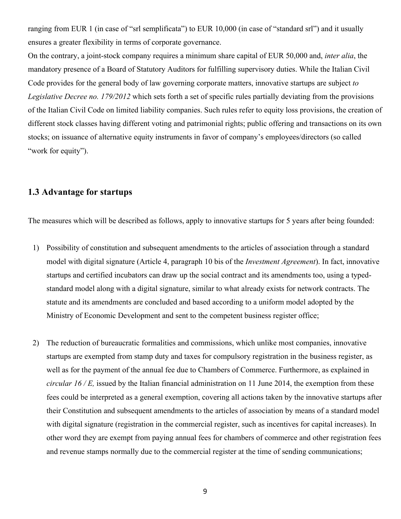ranging from EUR 1 (in case of "srl semplificata") to EUR 10,000 (in case of "standard srl") and it usually ensures a greater flexibility in terms of corporate governance.

On the contrary, a joint-stock company requires a minimum share capital of EUR 50,000 and, *inter alia*, the mandatory presence of a Board of Statutory Auditors for fulfilling supervisory duties. While the Italian Civil Code provides for the general body of law governing corporate matters, innovative startups are subject *to Legislative Decree no. 179/2012* which sets forth a set of specific rules partially deviating from the provisions of the Italian Civil Code on limited liability companies. Such rules refer to equity loss provisions, the creation of different stock classes having different voting and patrimonial rights; public offering and transactions on its own stocks; on issuance of alternative equity instruments in favor of company's employees/directors (so called "work for equity").

## **1.3 Advantage for startups**

The measures which will be described as follows, apply to innovative startups for 5 years after being founded:

- 1) Possibility of constitution and subsequent amendments to the articles of association through a standard model with digital signature (Article 4, paragraph 10 bis of the *Investment Agreement*). In fact, innovative startups and certified incubators can draw up the social contract and its amendments too, using a typedstandard model along with a digital signature, similar to what already exists for network contracts. The statute and its amendments are concluded and based according to a uniform model adopted by the Ministry of Economic Development and sent to the competent business register office;
- 2) The reduction of bureaucratic formalities and commissions, which unlike most companies, innovative startups are exempted from stamp duty and taxes for compulsory registration in the business register, as well as for the payment of the annual fee due to Chambers of Commerce. Furthermore, as explained in *circular 16 / E,* issued by the Italian financial administration on 11 June 2014, the exemption from these fees could be interpreted as a general exemption, covering all actions taken by the innovative startups after their Constitution and subsequent amendments to the articles of association by means of a standard model with digital signature (registration in the commercial register, such as incentives for capital increases). In other word they are exempt from paying annual fees for chambers of commerce and other registration fees and revenue stamps normally due to the commercial register at the time of sending communications;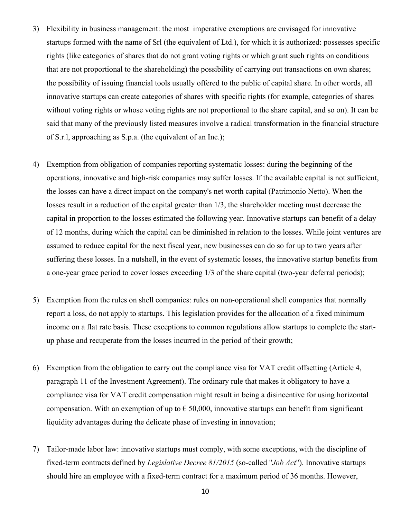- 3) Flexibility in business management: the most imperative exemptions are envisaged for innovative startups formed with the name of Srl (the equivalent of Ltd.), for which it is authorized: possesses specific rights (like categories of shares that do not grant voting rights or which grant such rights on conditions that are not proportional to the shareholding) the possibility of carrying out transactions on own shares; the possibility of issuing financial tools usually offered to the public of capital share. In other words, all innovative startups can create categories of shares with specific rights (for example, categories of shares without voting rights or whose voting rights are not proportional to the share capital, and so on). It can be said that many of the previously listed measures involve a radical transformation in the financial structure of S.r.l, approaching as S.p.a. (the equivalent of an Inc.);
- 4) Exemption from obligation of companies reporting systematic losses: during the beginning of the operations, innovative and high-risk companies may suffer losses. If the available capital is not sufficient, the losses can have a direct impact on the company's net worth capital (Patrimonio Netto). When the losses result in a reduction of the capital greater than 1/3, the shareholder meeting must decrease the capital in proportion to the losses estimated the following year. Innovative startups can benefit of a delay of 12 months, during which the capital can be diminished in relation to the losses. While joint ventures are assumed to reduce capital for the next fiscal year, new businesses can do so for up to two years after suffering these losses. In a nutshell, in the event of systematic losses, the innovative startup benefits from a one-year grace period to cover losses exceeding 1/3 of the share capital (two-year deferral periods);
- 5) Exemption from the rules on shell companies: rules on non-operational shell companies that normally report a loss, do not apply to startups. This legislation provides for the allocation of a fixed minimum income on a flat rate basis. These exceptions to common regulations allow startups to complete the startup phase and recuperate from the losses incurred in the period of their growth;
- 6) Exemption from the obligation to carry out the compliance visa for VAT credit offsetting (Article 4, paragraph 11 of the Investment Agreement). The ordinary rule that makes it obligatory to have a compliance visa for VAT credit compensation might result in being a disincentive for using horizontal compensation. With an exemption of up to  $\epsilon$  50,000, innovative startups can benefit from significant liquidity advantages during the delicate phase of investing in innovation;
- 7) Tailor-made labor law: innovative startups must comply, with some exceptions, with the discipline of fixed-term contracts defined by *Legislative Decree 81/2015* (so-called "*Job Act*"). Innovative startups should hire an employee with a fixed-term contract for a maximum period of 36 months. However,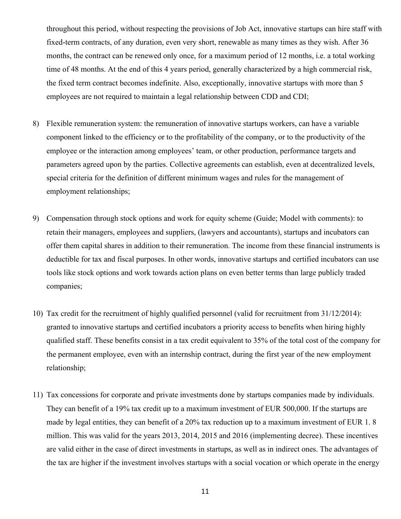throughout this period, without respecting the provisions of Job Act, innovative startups can hire staff with fixed-term contracts, of any duration, even very short, renewable as many times as they wish. After 36 months, the contract can be renewed only once, for a maximum period of 12 months, i.e. a total working time of 48 months. At the end of this 4 years period, generally characterized by a high commercial risk, the fixed term contract becomes indefinite. Also, exceptionally, innovative startups with more than 5 employees are not required to maintain a legal relationship between CDD and CDI;

- 8) Flexible remuneration system: the remuneration of innovative startups workers, can have a variable component linked to the efficiency or to the profitability of the company, or to the productivity of the employee or the interaction among employees' team, or other production, performance targets and parameters agreed upon by the parties. Collective agreements can establish, even at decentralized levels, special criteria for the definition of different minimum wages and rules for the management of employment relationships;
- 9) Compensation through stock options and work for equity scheme (Guide; Model with comments): to retain their managers, employees and suppliers, (lawyers and accountants), startups and incubators can offer them capital shares in addition to their remuneration. The income from these financial instruments is deductible for tax and fiscal purposes. In other words, innovative startups and certified incubators can use tools like stock options and work towards action plans on even better terms than large publicly traded companies;
- 10) Tax credit for the recruitment of highly qualified personnel (valid for recruitment from 31/12/2014): granted to innovative startups and certified incubators a priority access to benefits when hiring highly qualified staff. These benefits consist in a tax credit equivalent to 35% of the total cost of the company for the permanent employee, even with an internship contract, during the first year of the new employment relationship;
- 11) Tax concessions for corporate and private investments done by startups companies made by individuals. They can benefit of a 19% tax credit up to a maximum investment of EUR 500,000. If the startups are made by legal entities, they can benefit of a 20% tax reduction up to a maximum investment of EUR 1. 8 million. This was valid for the years 2013, 2014, 2015 and 2016 (implementing decree). These incentives are valid either in the case of direct investments in startups, as well as in indirect ones. The advantages of the tax are higher if the investment involves startups with a social vocation or which operate in the energy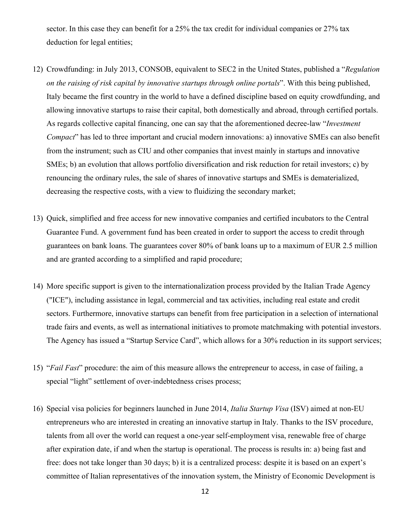sector. In this case they can benefit for a 25% the tax credit for individual companies or 27% tax deduction for legal entities;

- 12) Crowdfunding: in July 2013, CONSOB, equivalent to SEC2 in the United States, published a "*Regulation on the raising of risk capital by innovative startups through online portals*". With this being published, Italy became the first country in the world to have a defined discipline based on equity crowdfunding, and allowing innovative startups to raise their capital, both domestically and abroad, through certified portals. As regards collective capital financing, one can say that the aforementioned decree-law "*Investment Compact*" has led to three important and crucial modern innovations: a) innovative SMEs can also benefit from the instrument; such as CIU and other companies that invest mainly in startups and innovative SMEs; b) an evolution that allows portfolio diversification and risk reduction for retail investors; c) by renouncing the ordinary rules, the sale of shares of innovative startups and SMEs is dematerialized, decreasing the respective costs, with a view to fluidizing the secondary market;
- 13) Quick, simplified and free access for new innovative companies and certified incubators to the Central Guarantee Fund. A government fund has been created in order to support the access to credit through guarantees on bank loans. The guarantees cover 80% of bank loans up to a maximum of EUR 2.5 million and are granted according to a simplified and rapid procedure;
- 14) More specific support is given to the internationalization process provided by the Italian Trade Agency ("ICE"), including assistance in legal, commercial and tax activities, including real estate and credit sectors. Furthermore, innovative startups can benefit from free participation in a selection of international trade fairs and events, as well as international initiatives to promote matchmaking with potential investors. The Agency has issued a "Startup Service Card", which allows for a 30% reduction in its support services;
- 15) "*Fail Fast*" procedure: the aim of this measure allows the entrepreneur to access, in case of failing, a special "light" settlement of over-indebtedness crises process;
- 16) Special visa policies for beginners launched in June 2014, *Italia Startup Visa* (ISV) aimed at non-EU entrepreneurs who are interested in creating an innovative startup in Italy. Thanks to the ISV procedure, talents from all over the world can request a one-year self-employment visa, renewable free of charge after expiration date, if and when the startup is operational. The process is results in: a) being fast and free: does not take longer than 30 days; b) it is a centralized process: despite it is based on an expert's committee of Italian representatives of the innovation system, the Ministry of Economic Development is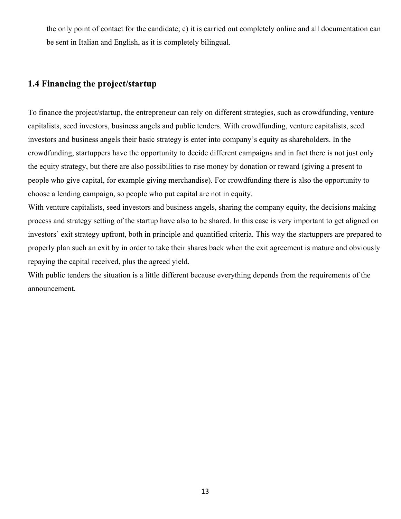the only point of contact for the candidate; c) it is carried out completely online and all documentation can be sent in Italian and English, as it is completely bilingual.

## **1.4 Financing the project/startup**

To finance the project/startup, the entrepreneur can rely on different strategies, such as crowdfunding, venture capitalists, seed investors, business angels and public tenders. With crowdfunding, venture capitalists, seed investors and business angels their basic strategy is enter into company's equity as shareholders. In the crowdfunding, startuppers have the opportunity to decide different campaigns and in fact there is not just only the equity strategy, but there are also possibilities to rise money by donation or reward (giving a present to people who give capital, for example giving merchandise). For crowdfunding there is also the opportunity to choose a lending campaign, so people who put capital are not in equity.

With venture capitalists, seed investors and business angels, sharing the company equity, the decisions making process and strategy setting of the startup have also to be shared. In this case is very important to get aligned on investors' exit strategy upfront, both in principle and quantified criteria. This way the startuppers are prepared to properly plan such an exit by in order to take their shares back when the exit agreement is mature and obviously repaying the capital received, plus the agreed yield.

With public tenders the situation is a little different because everything depends from the requirements of the announcement.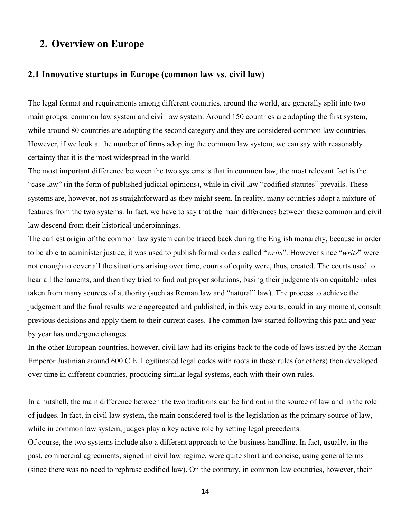## **2. Overview on Europe**

#### **2.1 Innovative startups in Europe (common law vs. civil law)**

The legal format and requirements among different countries, around the world, are generally split into two main groups: common law system and civil law system. Around 150 countries are adopting the first system, while around 80 countries are adopting the second category and they are considered common law countries. However, if we look at the number of firms adopting the common law system, we can say with reasonably certainty that it is the most widespread in the world.

The most important difference between the two systems is that in common law, the most relevant fact is the "case law" (in the form of published judicial opinions), while in civil law "codified statutes" prevails. These systems are, however, not as straightforward as they might seem. In reality, many countries adopt a mixture of features from the two systems. In fact, we have to say that the main differences between these common and civil law descend from their historical underpinnings.

The earliest origin of the common law system can be traced back during the English monarchy, because in order to be able to administer justice, it was used to publish formal orders called "*writs*". However since "*writs*" were not enough to cover all the situations arising over time, courts of equity were, thus, created. The courts used to hear all the laments, and then they tried to find out proper solutions, basing their judgements on equitable rules taken from many sources of authority (such as Roman law and "natural" law). The process to achieve the judgement and the final results were aggregated and published, in this way courts, could in any moment, consult previous decisions and apply them to their current cases. The common law started following this path and year by year has undergone changes.

In the other European countries, however, civil law had its origins back to the code of laws issued by the Roman Emperor Justinian around 600 C.E. Legitimated legal codes with roots in these rules (or others) then developed over time in different countries, producing similar legal systems, each with their own rules.

In a nutshell, the main difference between the two traditions can be find out in the source of law and in the role of judges. In fact, in civil law system, the main considered tool is the legislation as the primary source of law, while in common law system, judges play a key active role by setting legal precedents.

Of course, the two systems include also a different approach to the business handling. In fact, usually, in the past, commercial agreements, signed in civil law regime, were quite short and concise, using general terms (since there was no need to rephrase codified law). On the contrary, in common law countries, however, their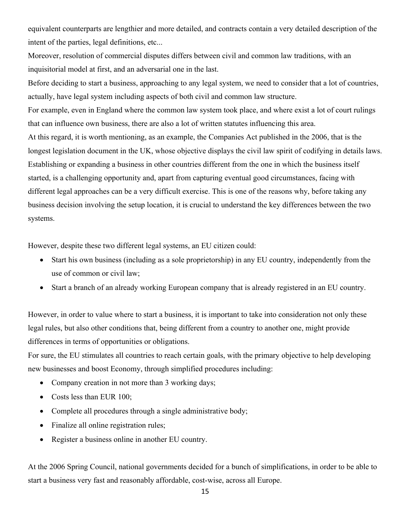equivalent counterparts are lengthier and more detailed, and contracts contain a very detailed description of the intent of the parties, legal definitions, etc...

Moreover, resolution of commercial disputes differs between civil and common law traditions, with an inquisitorial model at first, and an adversarial one in the last.

Before deciding to start a business, approaching to any legal system, we need to consider that a lot of countries, actually, have legal system including aspects of both civil and common law structure.

For example, even in England where the common law system took place, and where exist a lot of court rulings that can influence own business, there are also a lot of written statutes influencing this area. At this regard, it is worth mentioning, as an example, the Companies Act published in the 2006, that is the longest legislation document in the UK, whose objective displays the civil law spirit of codifying in details laws. Establishing or expanding a business in other countries different from the one in which the business itself started, is a challenging opportunity and, apart from capturing eventual good circumstances, facing with different legal approaches can be a very difficult exercise. This is one of the reasons why, before taking any business decision involving the setup location, it is crucial to understand the key differences between the two systems.

However, despite these two different legal systems, an EU citizen could:

- Start his own business (including as a sole proprietorship) in any EU country, independently from the use of common or civil law;
- Start a branch of an already working European company that is already registered in an EU country.

However, in order to value where to start a business, it is important to take into consideration not only these legal rules, but also other conditions that, being different from a country to another one, might provide differences in terms of opportunities or obligations.

For sure, the EU stimulates all countries to reach certain goals, with the primary objective to help developing new businesses and boost Economy, through simplified procedures including:

- Company creation in not more than 3 working days;
- Costs less than EUR 100;
- Complete all procedures through a single administrative body;
- Finalize all online registration rules;
- Register a business online in another EU country.

At the 2006 Spring Council, national governments decided for a bunch of simplifications, in order to be able to start a business very fast and reasonably affordable, cost-wise, across all Europe.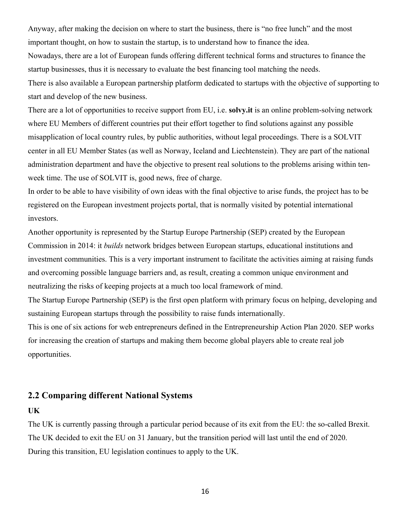Anyway, after making the decision on where to start the business, there is "no free lunch" and the most important thought, on how to sustain the startup, is to understand how to finance the idea. Nowadays, there are a lot of European funds offering different technical forms and structures to finance the startup businesses, thus it is necessary to evaluate the best financing tool matching the needs.

There is also available a European partnership platform dedicated to startups with the objective of supporting to start and develop of the new business.

There are a lot of opportunities to receive support from EU, i.e. **solvy.it** is an online problem-solving network where EU Members of different countries put their effort together to find solutions against any possible misapplication of local country rules, by public authorities, without legal proceedings. There is a SOLVIT center in all EU Member States (as well as Norway, Iceland and Liechtenstein). They are part of the national administration department and have the objective to present real solutions to the problems arising within tenweek time. The use of SOLVIT is, good news, free of charge.

In order to be able to have visibility of own ideas with the final objective to arise funds, the project has to be registered on the European investment projects portal, that is normally visited by potential international investors.

Another opportunity is represented by the Startup Europe Partnership (SEP) created by the European Commission in 2014: it *builds* network bridges between European startups, educational institutions and investment communities. This is a very important instrument to facilitate the activities aiming at raising funds and overcoming possible language barriers and, as result, creating a common unique environment and neutralizing the risks of keeping projects at a much too local framework of mind.

The Startup Europe Partnership (SEP) is the first open platform with primary focus on helping, developing and sustaining European startups through the possibility to raise funds internationally.

This is one of six actions for web entrepreneurs defined in the Entrepreneurship Action Plan 2020. SEP works for increasing the creation of startups and making them become global players able to create real job opportunities.

## **2.2 Comparing different National Systems**

#### **UK**

The UK is currently passing through a particular period because of its exit from the EU: the so-called Brexit. The UK decided to exit the EU on 31 January, but the transition period will last until the end of 2020. During this transition, EU legislation continues to apply to the UK.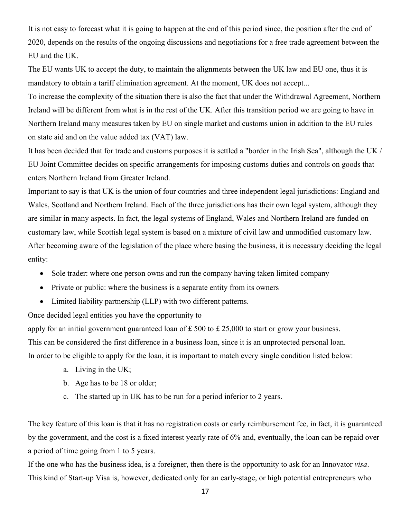It is not easy to forecast what it is going to happen at the end of this period since, the position after the end of 2020, depends on the results of the ongoing discussions and negotiations for a free trade agreement between the EU and the UK.

The EU wants UK to accept the duty, to maintain the alignments between the UK law and EU one, thus it is mandatory to obtain a tariff elimination agreement. At the moment, UK does not accept...

To increase the complexity of the situation there is also the fact that under the Withdrawal Agreement, Northern Ireland will be different from what is in the rest of the UK. After this transition period we are going to have in Northern Ireland many measures taken by EU on single market and customs union in addition to the EU rules on state aid and on the value added tax (VAT) law.

It has been decided that for trade and customs purposes it is settled a "border in the Irish Sea", although the UK / EU Joint Committee decides on specific arrangements for imposing customs duties and controls on goods that enters Northern Ireland from Greater Ireland.

Important to say is that UK is the union of four countries and three independent legal jurisdictions: England and Wales, Scotland and Northern Ireland. Each of the three jurisdictions has their own legal system, although they are similar in many aspects. In fact, the legal systems of England, Wales and Northern Ireland are funded on customary law, while Scottish legal system is based on a mixture of civil law and unmodified customary law. After becoming aware of the legislation of the place where basing the business, it is necessary deciding the legal entity:

- Sole trader: where one person owns and run the company having taken limited company
- Private or public: where the business is a separate entity from its owners
- Limited liability partnership (LLP) with two different patterns.

Once decided legal entities you have the opportunity to

apply for an initial government guaranteed loan of £ 500 to £ 25,000 to start or grow your business.

This can be considered the first difference in a business loan, since it is an unprotected personal loan.

In order to be eligible to apply for the loan, it is important to match every single condition listed below:

- a. Living in the UK;
- b. Age has to be 18 or older;
- c. The started up in UK has to be run for a period inferior to 2 years.

The key feature of this loan is that it has no registration costs or early reimbursement fee, in fact, it is guaranteed by the government, and the cost is a fixed interest yearly rate of 6% and, eventually, the loan can be repaid over a period of time going from 1 to 5 years.

If the one who has the business idea, is a foreigner, then there is the opportunity to ask for an Innovator *visa*. This kind of Start-up Visa is, however, dedicated only for an early-stage, or high potential entrepreneurs who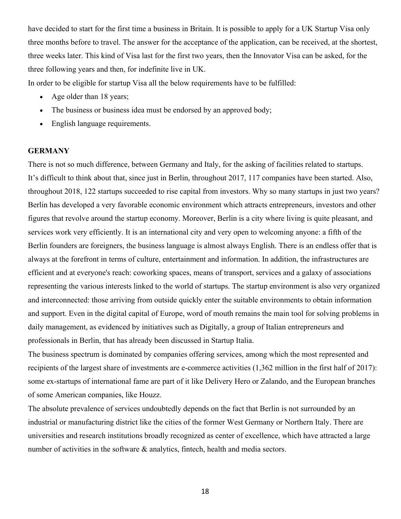have decided to start for the first time a business in Britain. It is possible to apply for a UK Startup Visa only three months before to travel. The answer for the acceptance of the application, can be received, at the shortest, three weeks later. This kind of Visa last for the first two years, then the Innovator Visa can be asked, for the three following years and then, for indefinite live in UK.

In order to be eligible for startup Visa all the below requirements have to be fulfilled:

- Age older than 18 years;
- The business or business idea must be endorsed by an approved body;
- English language requirements.

#### **GERMANY**

There is not so much difference, between Germany and Italy, for the asking of facilities related to startups. It's difficult to think about that, since just in Berlin, throughout 2017, 117 companies have been started. Also, throughout 2018, 122 startups succeeded to rise capital from investors. Why so many startups in just two years? Berlin has developed a very favorable economic environment which attracts entrepreneurs, investors and other figures that revolve around the startup economy. Moreover, Berlin is a city where living is quite pleasant, and services work very efficiently. It is an international city and very open to welcoming anyone: a fifth of the Berlin founders are foreigners, the business language is almost always English. There is an endless offer that is always at the forefront in terms of culture, entertainment and information. In addition, the infrastructures are efficient and at everyone's reach: coworking spaces, means of transport, services and a galaxy of associations representing the various interests linked to the world of startups. The startup environment is also very organized and interconnected: those arriving from outside quickly enter the suitable environments to obtain information and support. Even in the digital capital of Europe, word of mouth remains the main tool for solving problems in daily management, as evidenced by initiatives such as Digitally, a group of Italian entrepreneurs and professionals in Berlin, that has already been discussed in Startup Italia.

The business spectrum is dominated by companies offering services, among which the most represented and recipients of the largest share of investments are e-commerce activities (1,362 million in the first half of 2017): some ex-startups of international fame are part of it like Delivery Hero or Zalando, and the European branches of some American companies, like Houzz.

The absolute prevalence of services undoubtedly depends on the fact that Berlin is not surrounded by an industrial or manufacturing district like the cities of the former West Germany or Northern Italy. There are universities and research institutions broadly recognized as center of excellence, which have attracted a large number of activities in the software & analytics, fintech, health and media sectors.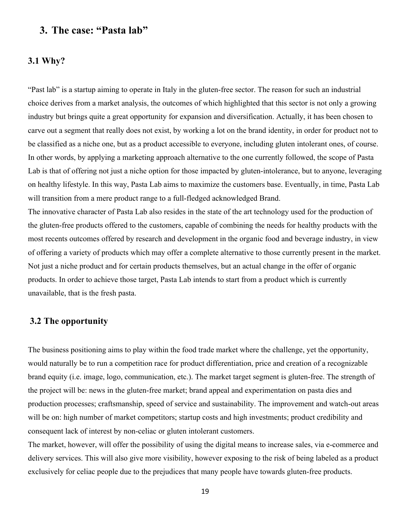## **3. The case: "Pasta lab"**

#### **3.1 Why?**

"Past lab" is a startup aiming to operate in Italy in the gluten-free sector. The reason for such an industrial choice derives from a market analysis, the outcomes of which highlighted that this sector is not only a growing industry but brings quite a great opportunity for expansion and diversification. Actually, it has been chosen to carve out a segment that really does not exist, by working a lot on the brand identity, in order for product not to be classified as a niche one, but as a product accessible to everyone, including gluten intolerant ones, of course. In other words, by applying a marketing approach alternative to the one currently followed, the scope of Pasta Lab is that of offering not just a niche option for those impacted by gluten-intolerance, but to anyone, leveraging on healthy lifestyle. In this way, Pasta Lab aims to maximize the customers base. Eventually, in time, Pasta Lab will transition from a mere product range to a full-fledged acknowledged Brand.

The innovative character of Pasta Lab also resides in the state of the art technology used for the production of the gluten-free products offered to the customers, capable of combining the needs for healthy products with the most recents outcomes offered by research and development in the organic food and beverage industry, in view of offering a variety of products which may offer a complete alternative to those currently present in the market. Not just a niche product and for certain products themselves, but an actual change in the offer of organic products. In order to achieve those target, Pasta Lab intends to start from a product which is currently unavailable, that is the fresh pasta.

### **3.2 The opportunity**

The business positioning aims to play within the food trade market where the challenge, yet the opportunity, would naturally be to run a competition race for product differentiation, price and creation of a recognizable brand equity (i.e. image, logo, communication, etc.). The market target segment is gluten-free. The strength of the project will be: news in the gluten-free market; brand appeal and experimentation on pasta dies and production processes; craftsmanship, speed of service and sustainability. The improvement and watch-out areas will be on: high number of market competitors; startup costs and high investments; product credibility and consequent lack of interest by non-celiac or gluten intolerant customers.

The market, however, will offer the possibility of using the digital means to increase sales, via e-commerce and delivery services. This will also give more visibility, however exposing to the risk of being labeled as a product exclusively for celiac people due to the prejudices that many people have towards gluten-free products.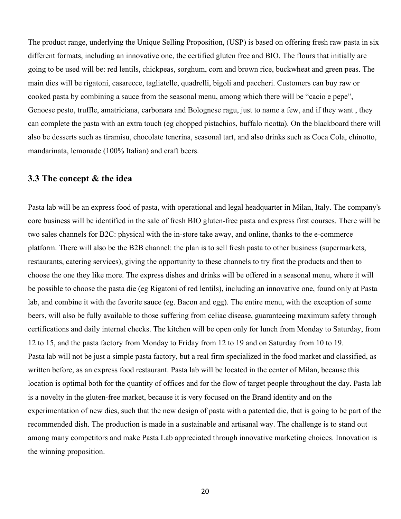The product range, underlying the Unique Selling Proposition, (USP) is based on offering fresh raw pasta in six different formats, including an innovative one, the certified gluten free and BIO. The flours that initially are going to be used will be: red lentils, chickpeas, sorghum, corn and brown rice, buckwheat and green peas. The main dies will be rigatoni, casarecce, tagliatelle, quadrelli, bigoli and paccheri. Customers can buy raw or cooked pasta by combining a sauce from the seasonal menu, among which there will be "cacio e pepe", Genoese pesto, truffle, amatriciana, carbonara and Bolognese ragu, just to name a few, and if they want , they can complete the pasta with an extra touch (eg chopped pistachios, buffalo ricotta). On the blackboard there will also be desserts such as tiramisu, chocolate tenerina, seasonal tart, and also drinks such as Coca Cola, chinotto, mandarinata, lemonade (100% Italian) and craft beers.

#### **3.3 The concept & the idea**

Pasta lab will be an express food of pasta, with operational and legal headquarter in Milan, Italy. The company's core business will be identified in the sale of fresh BIO gluten-free pasta and express first courses. There will be two sales channels for B2C: physical with the in-store take away, and online, thanks to the e-commerce platform. There will also be the B2B channel: the plan is to sell fresh pasta to other business (supermarkets, restaurants, catering services), giving the opportunity to these channels to try first the products and then to choose the one they like more. The express dishes and drinks will be offered in a seasonal menu, where it will be possible to choose the pasta die (eg Rigatoni of red lentils), including an innovative one, found only at Pasta lab, and combine it with the favorite sauce (eg. Bacon and egg). The entire menu, with the exception of some beers, will also be fully available to those suffering from celiac disease, guaranteeing maximum safety through certifications and daily internal checks. The kitchen will be open only for lunch from Monday to Saturday, from 12 to 15, and the pasta factory from Monday to Friday from 12 to 19 and on Saturday from 10 to 19. Pasta lab will not be just a simple pasta factory, but a real firm specialized in the food market and classified, as written before, as an express food restaurant. Pasta lab will be located in the center of Milan, because this location is optimal both for the quantity of offices and for the flow of target people throughout the day. Pasta lab is a novelty in the gluten-free market, because it is very focused on the Brand identity and on the experimentation of new dies, such that the new design of pasta with a patented die, that is going to be part of the recommended dish. The production is made in a sustainable and artisanal way. The challenge is to stand out among many competitors and make Pasta Lab appreciated through innovative marketing choices. Innovation is the winning proposition.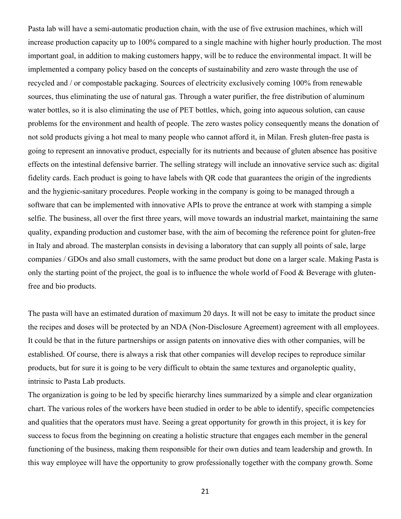Pasta lab will have a semi-automatic production chain, with the use of five extrusion machines, which will increase production capacity up to 100% compared to a single machine with higher hourly production. The most important goal, in addition to making customers happy, will be to reduce the environmental impact. It will be implemented a company policy based on the concepts of sustainability and zero waste through the use of recycled and / or compostable packaging. Sources of electricity exclusively coming 100% from renewable sources, thus eliminating the use of natural gas. Through a water purifier, the free distribution of aluminum water bottles, so it is also eliminating the use of PET bottles, which, going into aqueous solution, can cause problems for the environment and health of people. The zero wastes policy consequently means the donation of not sold products giving a hot meal to many people who cannot afford it, in Milan. Fresh gluten-free pasta is going to represent an innovative product, especially for its nutrients and because of gluten absence has positive effects on the intestinal defensive barrier. The selling strategy will include an innovative service such as: digital fidelity cards. Each product is going to have labels with QR code that guarantees the origin of the ingredients and the hygienic-sanitary procedures. People working in the company is going to be managed through a software that can be implemented with innovative APIs to prove the entrance at work with stamping a simple selfie. The business, all over the first three years, will move towards an industrial market, maintaining the same quality, expanding production and customer base, with the aim of becoming the reference point for gluten-free in Italy and abroad. The masterplan consists in devising a laboratory that can supply all points of sale, large companies / GDOs and also small customers, with the same product but done on a larger scale. Making Pasta is only the starting point of the project, the goal is to influence the whole world of Food  $&$  Beverage with glutenfree and bio products.

The pasta will have an estimated duration of maximum 20 days. It will not be easy to imitate the product since the recipes and doses will be protected by an NDA (Non-Disclosure Agreement) agreement with all employees. It could be that in the future partnerships or assign patents on innovative dies with other companies, will be established. Of course, there is always a risk that other companies will develop recipes to reproduce similar products, but for sure it is going to be very difficult to obtain the same textures and organoleptic quality, intrinsic to Pasta Lab products.

The organization is going to be led by specific hierarchy lines summarized by a simple and clear organization chart. The various roles of the workers have been studied in order to be able to identify, specific competencies and qualities that the operators must have. Seeing a great opportunity for growth in this project, it is key for success to focus from the beginning on creating a holistic structure that engages each member in the general functioning of the business, making them responsible for their own duties and team leadership and growth. In this way employee will have the opportunity to grow professionally together with the company growth. Some

21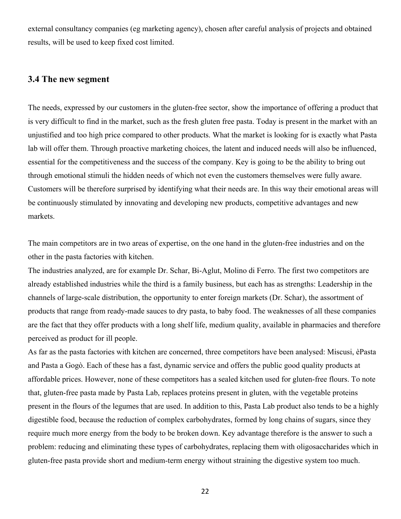external consultancy companies (eg marketing agency), chosen after careful analysis of projects and obtained results, will be used to keep fixed cost limited.

#### **3.4 The new segment**

The needs, expressed by our customers in the gluten-free sector, show the importance of offering a product that is very difficult to find in the market, such as the fresh gluten free pasta. Today is present in the market with an unjustified and too high price compared to other products. What the market is looking for is exactly what Pasta lab will offer them. Through proactive marketing choices, the latent and induced needs will also be influenced, essential for the competitiveness and the success of the company. Key is going to be the ability to bring out through emotional stimuli the hidden needs of which not even the customers themselves were fully aware. Customers will be therefore surprised by identifying what their needs are. In this way their emotional areas will be continuously stimulated by innovating and developing new products, competitive advantages and new markets.

The main competitors are in two areas of expertise, on the one hand in the gluten-free industries and on the other in the pasta factories with kitchen.

The industries analyzed, are for example Dr. Schar, Bi-Aglut, Molino di Ferro. The first two competitors are already established industries while the third is a family business, but each has as strengths: Leadership in the channels of large-scale distribution, the opportunity to enter foreign markets (Dr. Schar), the assortment of products that range from ready-made sauces to dry pasta, to baby food. The weaknesses of all these companies are the fact that they offer products with a long shelf life, medium quality, available in pharmacies and therefore perceived as product for ill people.

As far as the pasta factories with kitchen are concerned, three competitors have been analysed: Miscusi, èPasta and Pasta a Gogò. Each of these has a fast, dynamic service and offers the public good quality products at affordable prices. However, none of these competitors has a sealed kitchen used for gluten-free flours. To note that, gluten-free pasta made by Pasta Lab, replaces proteins present in gluten, with the vegetable proteins present in the flours of the legumes that are used. In addition to this, Pasta Lab product also tends to be a highly digestible food, because the reduction of complex carbohydrates, formed by long chains of sugars, since they require much more energy from the body to be broken down. Key advantage therefore is the answer to such a problem: reducing and eliminating these types of carbohydrates, replacing them with oligosaccharides which in gluten-free pasta provide short and medium-term energy without straining the digestive system too much.

22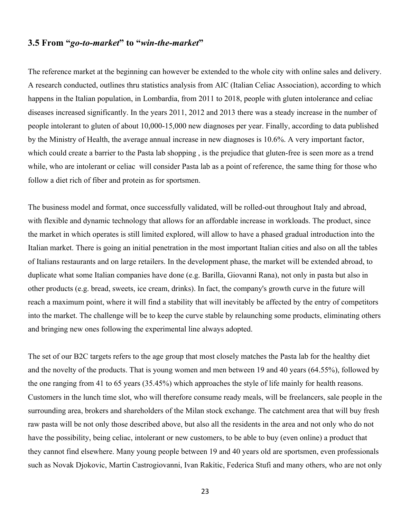## **3.5 From "***go-to-market***" to "***win-the-market***"**

The reference market at the beginning can however be extended to the whole city with online sales and delivery. A research conducted, outlines thru statistics analysis from AIC (Italian Celiac Association), according to which happens in the Italian population, in Lombardia, from 2011 to 2018, people with gluten intolerance and celiac diseases increased significantly. In the years 2011, 2012 and 2013 there was a steady increase in the number of people intolerant to gluten of about 10,000-15,000 new diagnoses per year. Finally, according to data published by the Ministry of Health, the average annual increase in new diagnoses is 10.6%. A very important factor, which could create a barrier to the Pasta lab shopping, is the prejudice that gluten-free is seen more as a trend while, who are intolerant or celiac will consider Pasta lab as a point of reference, the same thing for those who follow a diet rich of fiber and protein as for sportsmen.

The business model and format, once successfully validated, will be rolled-out throughout Italy and abroad, with flexible and dynamic technology that allows for an affordable increase in workloads. The product, since the market in which operates is still limited explored, will allow to have a phased gradual introduction into the Italian market. There is going an initial penetration in the most important Italian cities and also on all the tables of Italians restaurants and on large retailers. In the development phase, the market will be extended abroad, to duplicate what some Italian companies have done (e.g. Barilla, Giovanni Rana), not only in pasta but also in other products (e.g. bread, sweets, ice cream, drinks). In fact, the company's growth curve in the future will reach a maximum point, where it will find a stability that will inevitably be affected by the entry of competitors into the market. The challenge will be to keep the curve stable by relaunching some products, eliminating others and bringing new ones following the experimental line always adopted.

The set of our B2C targets refers to the age group that most closely matches the Pasta lab for the healthy diet and the novelty of the products. That is young women and men between 19 and 40 years (64.55%), followed by the one ranging from 41 to 65 years (35.45%) which approaches the style of life mainly for health reasons. Customers in the lunch time slot, who will therefore consume ready meals, will be freelancers, sale people in the surrounding area, brokers and shareholders of the Milan stock exchange. The catchment area that will buy fresh raw pasta will be not only those described above, but also all the residents in the area and not only who do not have the possibility, being celiac, intolerant or new customers, to be able to buy (even online) a product that they cannot find elsewhere. Many young people between 19 and 40 years old are sportsmen, even professionals such as Novak Djokovic, Martin Castrogiovanni, Ivan Rakitic, Federica Stufi and many others, who are not only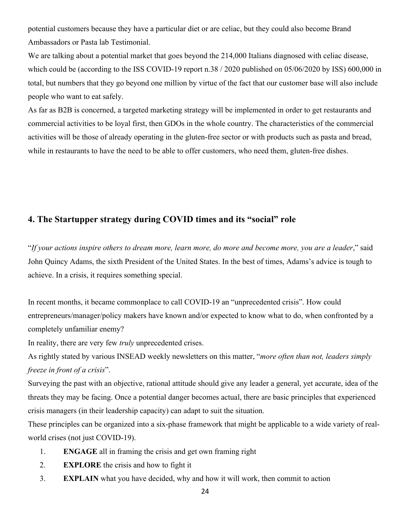potential customers because they have a particular diet or are celiac, but they could also become Brand Ambassadors or Pasta lab Testimonial.

We are talking about a potential market that goes beyond the 214,000 Italians diagnosed with celiac disease, which could be (according to the ISS COVID-19 report n.38 / 2020 published on 05/06/2020 by ISS) 600,000 in total, but numbers that they go beyond one million by virtue of the fact that our customer base will also include people who want to eat safely.

As far as B2B is concerned, a targeted marketing strategy will be implemented in order to get restaurants and commercial activities to be loyal first, then GDOs in the whole country. The characteristics of the commercial activities will be those of already operating in the gluten-free sector or with products such as pasta and bread, while in restaurants to have the need to be able to offer customers, who need them, gluten-free dishes.

## **4. The Startupper strategy during COVID times and its "social" role**

"*If your actions inspire others to dream more, learn more, do more and become more, you are a leader*," said John Quincy Adams, the sixth President of the United States. In the best of times, Adams's advice is tough to achieve. In a crisis, it requires something special.

In recent months, it became commonplace to call COVID-19 an "unprecedented crisis". How could entrepreneurs/manager/policy makers have known and/or expected to know what to do, when confronted by a completely unfamiliar enemy?

In reality, there are very few *truly* unprecedented crises.

As rightly stated by various INSEAD weekly newsletters on this matter, "*more often than not, leaders simply freeze in front of a crisis*".

Surveying the past with an objective, rational attitude should give any leader a general, yet accurate, idea of the threats they may be facing. Once a potential danger becomes actual, there are basic principles that experienced crisis managers (in their leadership capacity) can adapt to suit the situation.

These principles can be organized into a six-phase framework that might be applicable to a wide variety of realworld crises (not just COVID-19).

- 1. **ENGAGE** all in framing the crisis and get own framing right
- 2. **EXPLORE** the crisis and how to fight it
- 3. **EXPLAIN** what you have decided, why and how it will work, then commit to action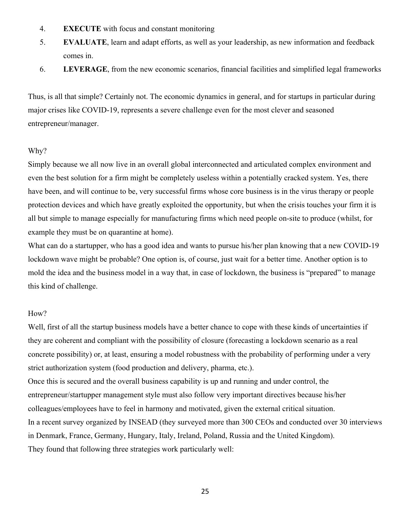- 4. **EXECUTE** with focus and constant monitoring
- 5. **EVALUATE**, learn and adapt efforts, as well as your leadership, as new information and feedback comes in.
- 6. **LEVERAGE**, from the new economic scenarios, financial facilities and simplified legal frameworks

Thus, is all that simple? Certainly not. The economic dynamics in general, and for startups in particular during major crises like COVID-19, represents a severe challenge even for the most clever and seasoned entrepreneur/manager.

#### Why?

Simply because we all now live in an overall global interconnected and articulated complex environment and even the best solution for a firm might be completely useless within a potentially cracked system. Yes, there have been, and will continue to be, very successful firms whose core business is in the virus therapy or people protection devices and which have greatly exploited the opportunity, but when the crisis touches your firm it is all but simple to manage especially for manufacturing firms which need people on-site to produce (whilst, for example they must be on quarantine at home).

What can do a startupper, who has a good idea and wants to pursue his/her plan knowing that a new COVID-19 lockdown wave might be probable? One option is, of course, just wait for a better time. Another option is to mold the idea and the business model in a way that, in case of lockdown, the business is "prepared" to manage this kind of challenge.

#### How?

Well, first of all the startup business models have a better chance to cope with these kinds of uncertainties if they are coherent and compliant with the possibility of closure (forecasting a lockdown scenario as a real concrete possibility) or, at least, ensuring a model robustness with the probability of performing under a very strict authorization system (food production and delivery, pharma, etc.).

Once this is secured and the overall business capability is up and running and under control, the entrepreneur/startupper management style must also follow very important directives because his/her colleagues/employees have to feel in harmony and motivated, given the external critical situation. In a recent survey organized by INSEAD (they surveyed more than 300 CEOs and conducted over 30 interviews in Denmark, France, Germany, Hungary, Italy, Ireland, Poland, Russia and the United Kingdom). They found that following three strategies work particularly well: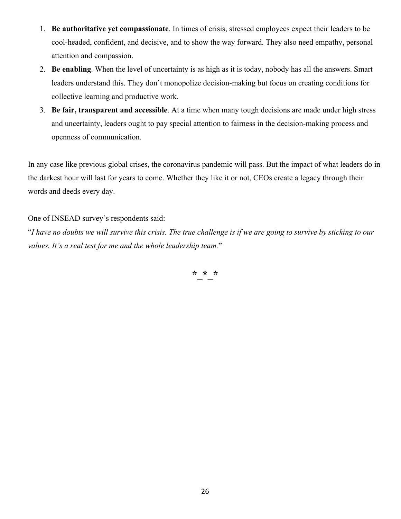- 1. **Be authoritative yet compassionate**. In times of crisis, stressed employees expect their leaders to be cool-headed, confident, and decisive, and to show the way forward. They also need empathy, personal attention and compassion.
- 2. **Be enabling**. When the level of uncertainty is as high as it is today, nobody has all the answers. Smart leaders understand this. They don't monopolize decision-making but focus on creating conditions for collective learning and productive work.
- 3. **Be fair, transparent and accessible**. At a time when many tough decisions are made under high stress and uncertainty, leaders ought to pay special attention to fairness in the decision-making process and openness of communication.

In any case like previous global crises, the coronavirus pandemic will pass. But the impact of what leaders do in the darkest hour will last for years to come. Whether they like it or not, CEOs create a legacy through their words and deeds every day.

#### One of INSEAD survey's respondents said:

"*I have no doubts we will survive this crisis. The true challenge is if we are going to survive by sticking to our values. It's a real test for me and the whole leadership team.*"

**\*\_\*\_\***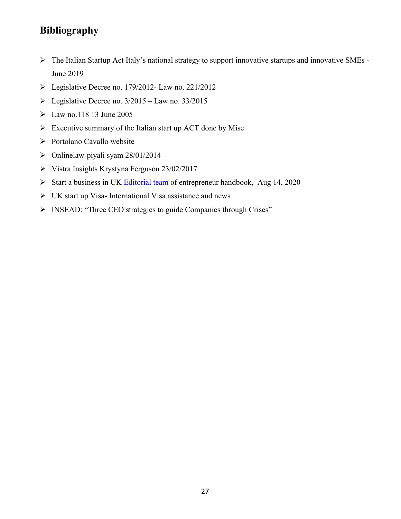# **Bibliography**

- Ø The Italian Startup Act Italy's national strategy to support innovative startups and innovative SMEs June 2019
- $\triangleright$  Legislative Decree no. 179/2012- Law no. 221/2012
- $\triangleright$  Legislative Decree no. 3/2015 Law no. 33/2015
- $\blacktriangleright$  Law no.118 13 June 2005
- $\triangleright$  Executive summary of the Italian start up ACT done by Mise
- Ø Portolano Cavallo website
- $\triangleright$  Onlinelaw-piyali syam 28/01/2014
- $\triangleright$  Vistra Insights Krystyna Ferguson 23/02/2017
- $\triangleright$  Start a business in UK Editorial team of entrepreneur handbook, Aug 14, 2020
- $\triangleright$  UK start up Visa- International Visa assistance and news
- Ø INSEAD: "Three CEO strategies to guide Companies through Crises"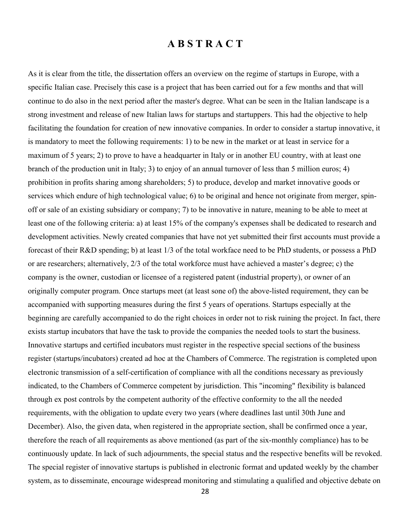## **A B S T R A C T**

As it is clear from the title, the dissertation offers an overview on the regime of startups in Europe, with a specific Italian case. Precisely this case is a project that has been carried out for a few months and that will continue to do also in the next period after the master's degree. What can be seen in the Italian landscape is a strong investment and release of new Italian laws for startups and startuppers. This had the objective to help facilitating the foundation for creation of new innovative companies. In order to consider a startup innovative, it is mandatory to meet the following requirements: 1) to be new in the market or at least in service for a maximum of 5 years; 2) to prove to have a headquarter in Italy or in another EU country, with at least one branch of the production unit in Italy; 3) to enjoy of an annual turnover of less than 5 million euros; 4) prohibition in profits sharing among shareholders; 5) to produce, develop and market innovative goods or services which endure of high technological value; 6) to be original and hence not originate from merger, spinoff or sale of an existing subsidiary or company; 7) to be innovative in nature, meaning to be able to meet at least one of the following criteria: a) at least 15% of the company's expenses shall be dedicated to research and development activities. Newly created companies that have not yet submitted their first accounts must provide a forecast of their R&D spending; b) at least 1/3 of the total workface need to be PhD students, or possess a PhD or are researchers; alternatively, 2/3 of the total workforce must have achieved a master's degree; c) the company is the owner, custodian or licensee of a registered patent (industrial property), or owner of an originally computer program. Once startups meet (at least sone of) the above-listed requirement, they can be accompanied with supporting measures during the first 5 years of operations. Startups especially at the beginning are carefully accompanied to do the right choices in order not to risk ruining the project. In fact, there exists startup incubators that have the task to provide the companies the needed tools to start the business. Innovative startups and certified incubators must register in the respective special sections of the business register (startups/incubators) created ad hoc at the Chambers of Commerce. The registration is completed upon electronic transmission of a self-certification of compliance with all the conditions necessary as previously indicated, to the Chambers of Commerce competent by jurisdiction. This "incoming" flexibility is balanced through ex post controls by the competent authority of the effective conformity to the all the needed requirements, with the obligation to update every two years (where deadlines last until 30th June and December). Also, the given data, when registered in the appropriate section, shall be confirmed once a year, therefore the reach of all requirements as above mentioned (as part of the six-monthly compliance) has to be continuously update. In lack of such adjournments, the special status and the respective benefits will be revoked. The special register of innovative startups is published in electronic format and updated weekly by the chamber system, as to disseminate, encourage widespread monitoring and stimulating a qualified and objective debate on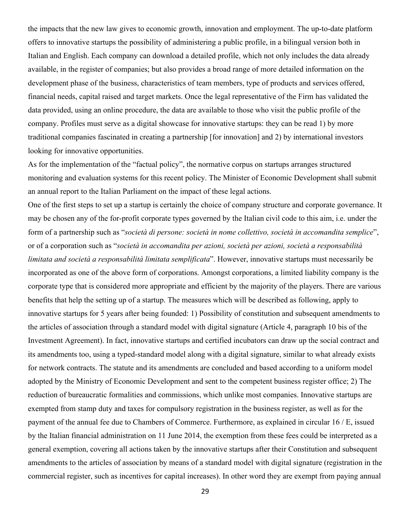the impacts that the new law gives to economic growth, innovation and employment. The up-to-date platform offers to innovative startups the possibility of administering a public profile, in a bilingual version both in Italian and English. Each company can download a detailed profile, which not only includes the data already available, in the register of companies; but also provides a broad range of more detailed information on the development phase of the business, characteristics of team members, type of products and services offered, financial needs, capital raised and target markets. Once the legal representative of the Firm has validated the data provided, using an online procedure, the data are available to those who visit the public profile of the company. Profiles must serve as a digital showcase for innovative startups: they can be read 1) by more traditional companies fascinated in creating a partnership [for innovation] and 2) by international investors looking for innovative opportunities.

As for the implementation of the "factual policy", the normative corpus on startups arranges structured monitoring and evaluation systems for this recent policy. The Minister of Economic Development shall submit an annual report to the Italian Parliament on the impact of these legal actions.

One of the first steps to set up a startup is certainly the choice of company structure and corporate governance. It may be chosen any of the for-profit corporate types governed by the Italian civil code to this aim, i.e. under the form of a partnership such as "*società di persone: società in nome collettivo, società in accomandita semplice*", or of a corporation such as "*società in accomandita per azioni, società per azioni, società a responsabilità limitata and società a responsabilità limitata semplificata*". However, innovative startups must necessarily be incorporated as one of the above form of corporations. Amongst corporations, a limited liability company is the corporate type that is considered more appropriate and efficient by the majority of the players. There are various benefits that help the setting up of a startup. The measures which will be described as following, apply to innovative startups for 5 years after being founded: 1) Possibility of constitution and subsequent amendments to the articles of association through a standard model with digital signature (Article 4, paragraph 10 bis of the Investment Agreement). In fact, innovative startups and certified incubators can draw up the social contract and its amendments too, using a typed-standard model along with a digital signature, similar to what already exists for network contracts. The statute and its amendments are concluded and based according to a uniform model adopted by the Ministry of Economic Development and sent to the competent business register office; 2) The reduction of bureaucratic formalities and commissions, which unlike most companies. Innovative startups are exempted from stamp duty and taxes for compulsory registration in the business register, as well as for the payment of the annual fee due to Chambers of Commerce. Furthermore, as explained in circular 16 / E, issued by the Italian financial administration on 11 June 2014, the exemption from these fees could be interpreted as a general exemption, covering all actions taken by the innovative startups after their Constitution and subsequent amendments to the articles of association by means of a standard model with digital signature (registration in the commercial register, such as incentives for capital increases). In other word they are exempt from paying annual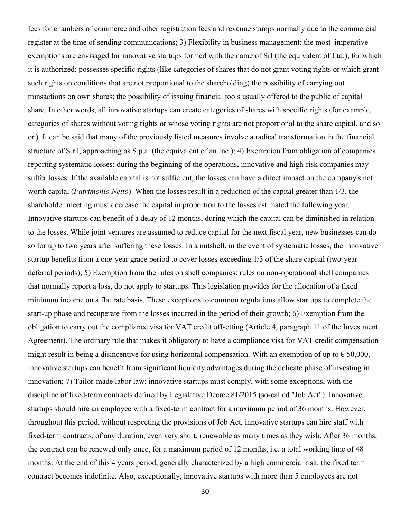fees for chambers of commerce and other registration fees and revenue stamps normally due to the commercial register at the time of sending communications; 3) Flexibility in business management: the most imperative exemptions are envisaged for innovative startups formed with the name of Srl (the equivalent of Ltd.), for which it is authorized: possesses specific rights (like categories of shares that do not grant voting rights or which grant such rights on conditions that are not proportional to the shareholding) the possibility of carrying out transactions on own shares; the possibility of issuing financial tools usually offered to the public of capital share. In other words, all innovative startups can create categories of shares with specific rights (for example, categories of shares without voting rights or whose voting rights are not proportional to the share capital, and so on). It can be said that many of the previously listed measures involve a radical transformation in the financial structure of S.r.l, approaching as S.p.a. (the equivalent of an Inc.); 4) Exemption from obligation of companies reporting systematic losses: during the beginning of the operations, innovative and high-risk companies may suffer losses. If the available capital is not sufficient, the losses can have a direct impact on the company's net worth capital (*Patrimonio Netto*). When the losses result in a reduction of the capital greater than 1/3, the shareholder meeting must decrease the capital in proportion to the losses estimated the following year. Innovative startups can benefit of a delay of 12 months, during which the capital can be diminished in relation to the losses. While joint ventures are assumed to reduce capital for the next fiscal year, new businesses can do so for up to two years after suffering these losses. In a nutshell, in the event of systematic losses, the innovative startup benefits from a one-year grace period to cover losses exceeding 1/3 of the share capital (two-year deferral periods); 5) Exemption from the rules on shell companies: rules on non-operational shell companies that normally report a loss, do not apply to startups. This legislation provides for the allocation of a fixed minimum income on a flat rate basis. These exceptions to common regulations allow startups to complete the start-up phase and recuperate from the losses incurred in the period of their growth; 6) Exemption from the obligation to carry out the compliance visa for VAT credit offsetting (Article 4, paragraph 11 of the Investment Agreement). The ordinary rule that makes it obligatory to have a compliance visa for VAT credit compensation might result in being a disincentive for using horizontal compensation. With an exemption of up to  $\epsilon$  50,000, innovative startups can benefit from significant liquidity advantages during the delicate phase of investing in innovation; 7) Tailor-made labor law: innovative startups must comply, with some exceptions, with the discipline of fixed-term contracts defined by Legislative Decree 81/2015 (so-called "Job Act"). Innovative startups should hire an employee with a fixed-term contract for a maximum period of 36 months. However, throughout this period, without respecting the provisions of Job Act, innovative startups can hire staff with fixed-term contracts, of any duration, even very short, renewable as many times as they wish. After 36 months, the contract can be renewed only once, for a maximum period of 12 months, i.e. a total working time of 48 months. At the end of this 4 years period, generally characterized by a high commercial risk, the fixed term contract becomes indefinite. Also, exceptionally, innovative startups with more than 5 employees are not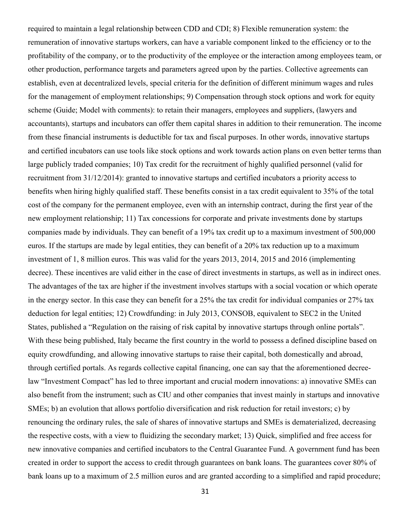required to maintain a legal relationship between CDD and CDI; 8) Flexible remuneration system: the remuneration of innovative startups workers, can have a variable component linked to the efficiency or to the profitability of the company, or to the productivity of the employee or the interaction among employees team, or other production, performance targets and parameters agreed upon by the parties. Collective agreements can establish, even at decentralized levels, special criteria for the definition of different minimum wages and rules for the management of employment relationships; 9) Compensation through stock options and work for equity scheme (Guide; Model with comments): to retain their managers, employees and suppliers, (lawyers and accountants), startups and incubators can offer them capital shares in addition to their remuneration. The income from these financial instruments is deductible for tax and fiscal purposes. In other words, innovative startups and certified incubators can use tools like stock options and work towards action plans on even better terms than large publicly traded companies; 10) Tax credit for the recruitment of highly qualified personnel (valid for recruitment from 31/12/2014): granted to innovative startups and certified incubators a priority access to benefits when hiring highly qualified staff. These benefits consist in a tax credit equivalent to 35% of the total cost of the company for the permanent employee, even with an internship contract, during the first year of the new employment relationship; 11) Tax concessions for corporate and private investments done by startups companies made by individuals. They can benefit of a 19% tax credit up to a maximum investment of 500,000 euros. If the startups are made by legal entities, they can benefit of a 20% tax reduction up to a maximum investment of 1, 8 million euros. This was valid for the years 2013, 2014, 2015 and 2016 (implementing decree). These incentives are valid either in the case of direct investments in startups, as well as in indirect ones. The advantages of the tax are higher if the investment involves startups with a social vocation or which operate in the energy sector. In this case they can benefit for a 25% the tax credit for individual companies or 27% tax deduction for legal entities; 12) Crowdfunding: in July 2013, CONSOB, equivalent to SEC2 in the United States, published a "Regulation on the raising of risk capital by innovative startups through online portals". With these being published, Italy became the first country in the world to possess a defined discipline based on equity crowdfunding, and allowing innovative startups to raise their capital, both domestically and abroad, through certified portals. As regards collective capital financing, one can say that the aforementioned decreelaw "Investment Compact" has led to three important and crucial modern innovations: a) innovative SMEs can also benefit from the instrument; such as CIU and other companies that invest mainly in startups and innovative SMEs; b) an evolution that allows portfolio diversification and risk reduction for retail investors; c) by renouncing the ordinary rules, the sale of shares of innovative startups and SMEs is dematerialized, decreasing the respective costs, with a view to fluidizing the secondary market; 13) Quick, simplified and free access for new innovative companies and certified incubators to the Central Guarantee Fund. A government fund has been created in order to support the access to credit through guarantees on bank loans. The guarantees cover 80% of bank loans up to a maximum of 2.5 million euros and are granted according to a simplified and rapid procedure;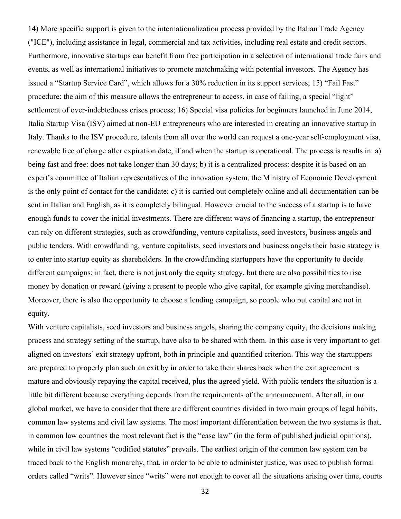14) More specific support is given to the internationalization process provided by the Italian Trade Agency ("ICE"), including assistance in legal, commercial and tax activities, including real estate and credit sectors. Furthermore, innovative startups can benefit from free participation in a selection of international trade fairs and events, as well as international initiatives to promote matchmaking with potential investors. The Agency has issued a "Startup Service Card", which allows for a 30% reduction in its support services; 15) "Fail Fast" procedure: the aim of this measure allows the entrepreneur to access, in case of failing, a special "light" settlement of over-indebtedness crises process; 16) Special visa policies for beginners launched in June 2014, Italia Startup Visa (ISV) aimed at non-EU entrepreneurs who are interested in creating an innovative startup in Italy. Thanks to the ISV procedure, talents from all over the world can request a one-year self-employment visa, renewable free of charge after expiration date, if and when the startup is operational. The process is results in: a) being fast and free: does not take longer than 30 days; b) it is a centralized process: despite it is based on an expert's committee of Italian representatives of the innovation system, the Ministry of Economic Development is the only point of contact for the candidate; c) it is carried out completely online and all documentation can be sent in Italian and English, as it is completely bilingual. However crucial to the success of a startup is to have enough funds to cover the initial investments. There are different ways of financing a startup, the entrepreneur can rely on different strategies, such as crowdfunding, venture capitalists, seed investors, business angels and public tenders. With crowdfunding, venture capitalists, seed investors and business angels their basic strategy is to enter into startup equity as shareholders. In the crowdfunding startuppers have the opportunity to decide different campaigns: in fact, there is not just only the equity strategy, but there are also possibilities to rise money by donation or reward (giving a present to people who give capital, for example giving merchandise). Moreover, there is also the opportunity to choose a lending campaign, so people who put capital are not in equity.

With venture capitalists, seed investors and business angels, sharing the company equity, the decisions making process and strategy setting of the startup, have also to be shared with them. In this case is very important to get aligned on investors' exit strategy upfront, both in principle and quantified criterion. This way the startuppers are prepared to properly plan such an exit by in order to take their shares back when the exit agreement is mature and obviously repaying the capital received, plus the agreed yield. With public tenders the situation is a little bit different because everything depends from the requirements of the announcement. After all, in our global market, we have to consider that there are different countries divided in two main groups of legal habits, common law systems and civil law systems. The most important differentiation between the two systems is that, in common law countries the most relevant fact is the "case law" (in the form of published judicial opinions), while in civil law systems "codified statutes" prevails. The earliest origin of the common law system can be traced back to the English monarchy, that, in order to be able to administer justice, was used to publish formal orders called "writs". However since "writs" were not enough to cover all the situations arising over time, courts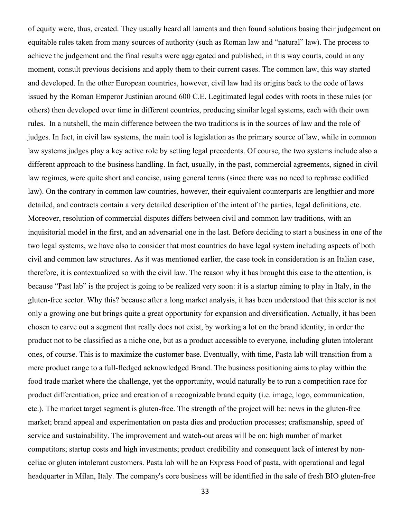of equity were, thus, created. They usually heard all laments and then found solutions basing their judgement on equitable rules taken from many sources of authority (such as Roman law and "natural" law). The process to achieve the judgement and the final results were aggregated and published, in this way courts, could in any moment, consult previous decisions and apply them to their current cases. The common law, this way started and developed. In the other European countries, however, civil law had its origins back to the code of laws issued by the Roman Emperor Justinian around 600 C.E. Legitimated legal codes with roots in these rules (or others) then developed over time in different countries, producing similar legal systems, each with their own rules. In a nutshell, the main difference between the two traditions is in the sources of law and the role of judges. In fact, in civil law systems, the main tool is legislation as the primary source of law, while in common law systems judges play a key active role by setting legal precedents. Of course, the two systems include also a different approach to the business handling. In fact, usually, in the past, commercial agreements, signed in civil law regimes, were quite short and concise, using general terms (since there was no need to rephrase codified law). On the contrary in common law countries, however, their equivalent counterparts are lengthier and more detailed, and contracts contain a very detailed description of the intent of the parties, legal definitions, etc. Moreover, resolution of commercial disputes differs between civil and common law traditions, with an inquisitorial model in the first, and an adversarial one in the last. Before deciding to start a business in one of the two legal systems, we have also to consider that most countries do have legal system including aspects of both civil and common law structures. As it was mentioned earlier, the case took in consideration is an Italian case, therefore, it is contextualized so with the civil law. The reason why it has brought this case to the attention, is because "Past lab" is the project is going to be realized very soon: it is a startup aiming to play in Italy, in the gluten-free sector. Why this? because after a long market analysis, it has been understood that this sector is not only a growing one but brings quite a great opportunity for expansion and diversification. Actually, it has been chosen to carve out a segment that really does not exist, by working a lot on the brand identity, in order the product not to be classified as a niche one, but as a product accessible to everyone, including gluten intolerant ones, of course. This is to maximize the customer base. Eventually, with time, Pasta lab will transition from a mere product range to a full-fledged acknowledged Brand. The business positioning aims to play within the food trade market where the challenge, yet the opportunity, would naturally be to run a competition race for product differentiation, price and creation of a recognizable brand equity (i.e. image, logo, communication, etc.). The market target segment is gluten-free. The strength of the project will be: news in the gluten-free market; brand appeal and experimentation on pasta dies and production processes; craftsmanship, speed of service and sustainability. The improvement and watch-out areas will be on: high number of market competitors; startup costs and high investments; product credibility and consequent lack of interest by nonceliac or gluten intolerant customers. Pasta lab will be an Express Food of pasta, with operational and legal headquarter in Milan, Italy. The company's core business will be identified in the sale of fresh BIO gluten-free